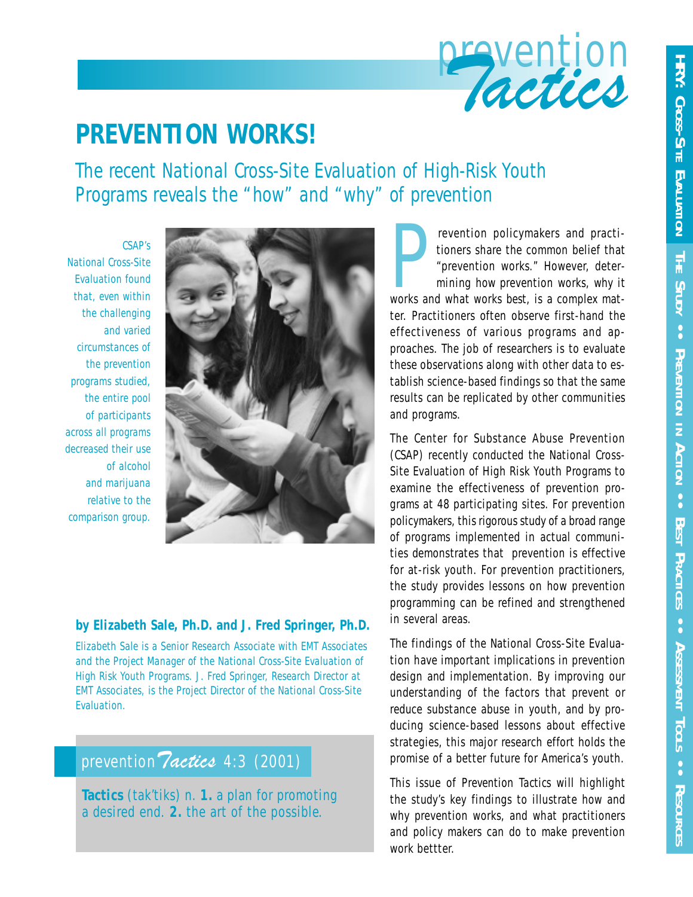

# **PREVENTION WORKS!**

*The recent National Cross-Site Evaluation of High-Risk Youth Programs reveals the "how" and "why" of prevention*

*CSAP's National Cross-Site Evaluation found that, even within the challenging and varied circumstances of the prevention programs studied, the entire pool of participants across all programs decreased their use of alcohol and marijuana relative to the comparison group.*



#### **by Elizabeth Sale, Ph.D. and J. Fred Springer, Ph.D.**

*Elizabeth Sale is a Senior Research Associate with EMT Associates and the Project Manager of the National Cross-Site Evaluation of High Risk Youth Programs. J. Fred Springer, Research Director at EMT Associates, is the Project Director of the National Cross-Site Evaluation.*

# prevention *Tactics* 4:3 (2001)

**Tactics** (tak'tiks) *n.* **1.** a plan for promoting a desired end. **2.** the art of the possible.

Prevention policymakers and practitioners share the common belief that<br>
"prevention works." However, deter-<br>
mining *how* prevention works, *why* it<br>
works and what works *best*, is a complex matrevention policymakers and practitioners share the common belief that "prevention works." However, determining *how* prevention works, *why* it ter. Practitioners often observe first-hand the effectiveness of various programs and approaches. The job of researchers is to evaluate these observations along with other data to establish science-based findings so that the same results can be replicated by other communities and programs.

The Center for Substance Abuse Prevention (CSAP) recently conducted the National Cross-Site Evaluation of High Risk Youth Programs to examine the effectiveness of prevention programs at 48 participating sites. For prevention policymakers, this rigorous study of a broad range of programs implemented in actual communities demonstrates that prevention is effective for at-risk youth. For prevention practitioners, the study provides lessons on how prevention programming can be refined and strengthened in several areas.

The findings of the National Cross-Site Evaluation have important implications in prevention design and implementation. By improving our understanding of the factors that prevent or reduce substance abuse in youth, and by producing science-based lessons about effective strategies, this major research effort holds the promise of a better future for America's youth.

This issue of *Prevention Tactics* will highlight the study's key findings to illustrate how and why prevention works, and what practitioners and policy makers can do to make prevention work bettter.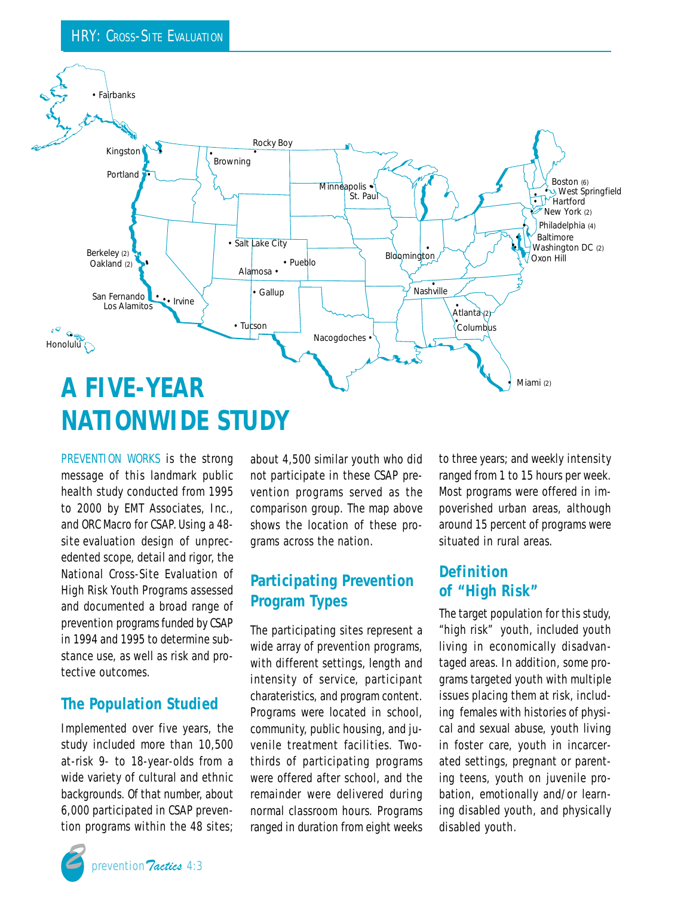

*PREVENTION WORKS* is the strong message of this landmark public health study conducted from 1995 to 2000 by EMT Associates, Inc., and ORC Macro for CSAP.Using a 48 site evaluation design of unprecedented scope, detail and rigor, the National Cross-Site Evaluation of High Risk Youth Programs assessed and documented a broad range of prevention programs funded by CSAP in 1994 and 1995 to determine substance use, as well as risk and protective outcomes.

#### **The Population Studied**

Implemented over five years, the study included more than 10,500 at-risk 9- to 18-year-olds from a wide variety of cultural and ethnic backgrounds. Of that number, about 6,000 participated in CSAP prevention programs within the 48 sites; about 4,500 similar youth who did *not* participate in these CSAP prevention programs served as the comparison group. The map above shows the location of these programs across the nation.

## **Participating Prevention Program Types**

The participating sites represent a wide array of prevention programs, with different settings, length and intensity of service, participant charateristics, and program content. Programs were located in school, community, public housing, and juvenile treatment facilities. Twothirds of participating programs were offered after school, and the remainder were delivered during normal classroom hours. Programs ranged in duration from eight weeks to three years; and weekly intensity ranged from 1 to 15 hours per week. Most programs were offered in impoverished urban areas, although around 15 percent of programs were situated in rural areas.

#### **Definition of "High Risk"**

The target population for this study, "high risk" youth, included youth living in economically disadvantaged areas. In addition, some programs targeted youth with multiple issues placing them at risk, including females with histories of physical and sexual abuse, youth living in foster care, youth in incarcerated settings, pregnant or parenting teens, youth on juvenile probation, emotionally and/or learning disabled youth, and physically disabled youth.

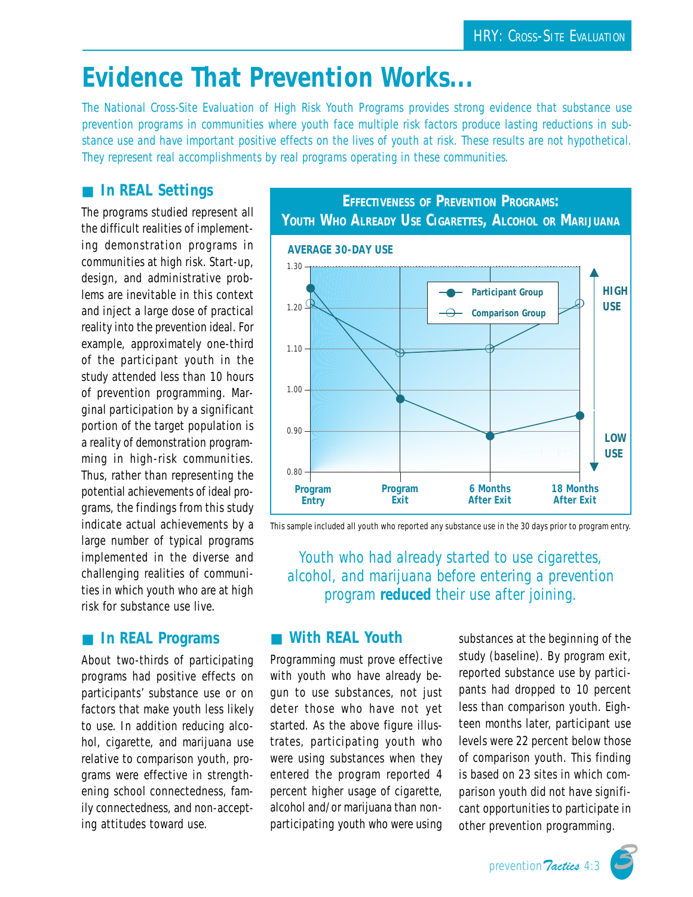# **Evidence That Prevention Works...**

*The National Cross-Site Evaluation of High Risk Youth Programs provides strong evidence that substance use prevention programs in communities where youth face multiple risk factors produce lasting reductions in substance use and have important positive effects on the lives of youth at risk. These results are not hypothetical. They represent real accomplishments by real programs operating in these communities.*

## ■ **In REAL Settings**

The programs studied represent all the difficult realities of implementing demonstration programs in communities at high risk. Start-up, design, and administrative problems are inevitable in this context and inject a large dose of practical reality into the prevention ideal. For example, approximately one-third of the participant youth in the study attended less than 10 hours of prevention programming. Marginal participation by a significant portion of the target population is a reality of demonstration programming in high-risk communities. Thus, rather than representing the potential achievements of ideal programs, the findings from this study indicate actual achievements by a large number of typical programs implemented in the diverse and challenging realities of communities in which youth who are at high risk for substance use live.

### ■ **In REAL Programs**

About two-thirds of participating programs had positive effects on participants' substance use or on factors that make youth less likely to use. In addition reducing alcohol, cigarette, and marijuana use relative to comparison youth, programs were effective in strengthening school connectedness, family connectedness, and non-accepting attitudes toward use.



This sample included all youth who reported any substance use in the 30 days prior to program entry.

*Youth who had already started to use cigarettes, alcohol, and marijuana before entering a prevention program reduced their use after joining.*

#### ■ **With REAL Youth**

Programming must prove effective with youth who have *already* begun to use substances, not just deter those who have not yet started. As the above figure illustrates, participating youth who were using substances when they entered the program reported 4 percent higher usage of cigarette, alcohol and/or marijuana than nonparticipating youth who were using substances at the beginning of the study (baseline). By program exit, reported substance use by participants had dropped to 10 percent less than comparison youth. Eighteen months later, participant use levels were 22 percent below those of comparison youth. This finding is based on 23 sites in which comparison youth did not have significant opportunities to participate in other prevention programming.

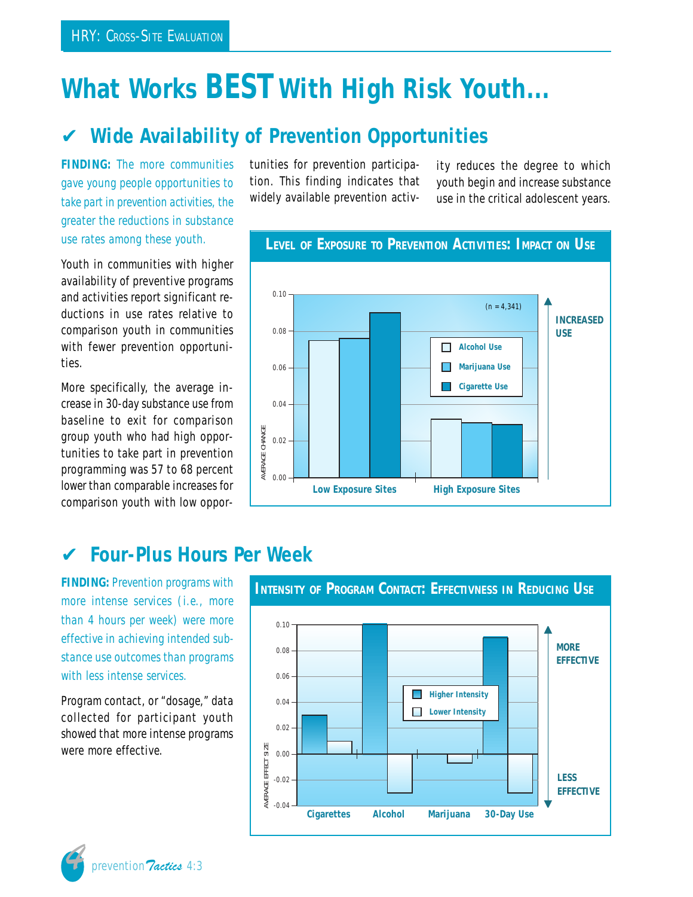# **What Works** *BEST* **With High Risk Youth...**

# ✔ **Wide Availability of Prevention Opportunities**

**FINDING:** *The more communities gave young people opportunities to take part in prevention activities, the greater the reductions in substance use rates among these youth.*

Youth in communities with higher availability of preventive programs and activities report significant reductions in use rates relative to comparison youth in communities with fewer prevention opportunities.

More specifically, the average increase in 30-day substance use from baseline to exit for comparison group youth who had high opportunities to take part in prevention programming was 57 to 68 percent *lower* than comparable increases for comparison youth with low opportunities for prevention participation. This finding indicates that widely available prevention activity reduces the degree to which youth begin and increase substance use in the critical adolescent years.



# **LEVEL OF EXPOSURE TO PREVENTION ACTIVITIES: IMPACT ON USE**

# ✔ **Four-Plus Hours Per Week**

**FINDING:** *Prevention programs with more intense services (i.e., more than 4 hours per week) were more effective in achieving intended substance use outcomes than programs with less intense services.*

Program contact, or "dosage," data collected for participant youth showed that more intense programs were more effective.

prevention *Tactics* 4:3

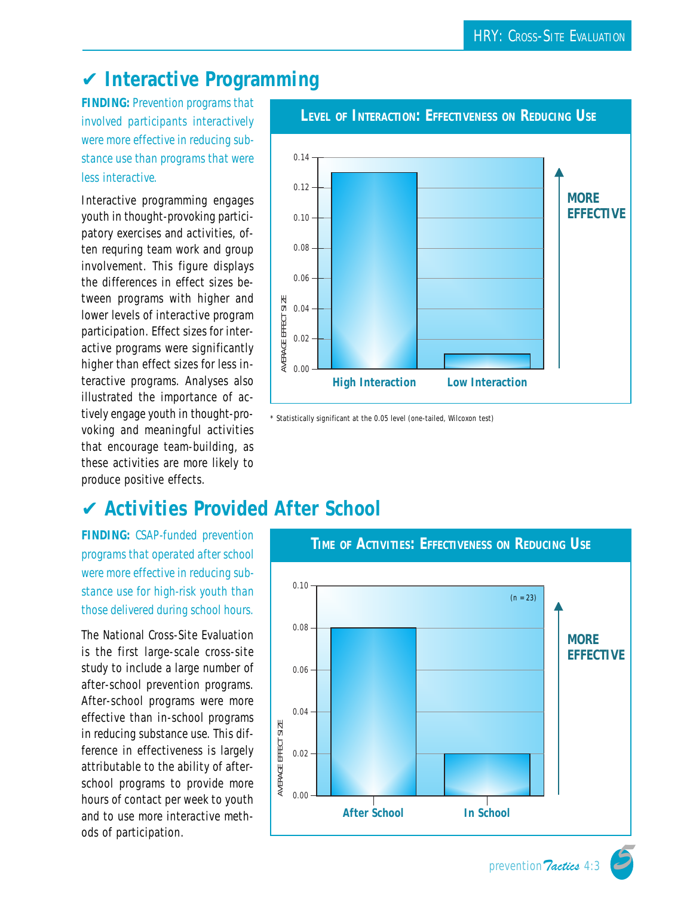# ✔ **Interactive Programming**

**FINDING:** *Prevention programs that involved participants interactively were more effective in reducing substance use than programs that were less interactive.*

Interactive programming engages youth in thought-provoking participatory exercises and activities, often requring team work and group involvement. This figure displays the differences in effect sizes between programs with higher and lower levels of interactive program participation. Effect sizes for interactive programs were significantly higher than effect sizes for less interactive programs. Analyses also illustrated the importance of actively engage youth in thought-provoking and meaningful activities that encourage team-building, as these activities are more likely to produce positive effects.



\* Statistically significant at the 0.05 level (one-tailed, Wilcoxon test)

# ✔ **Activities Provided After School**

**FINDING:** *CSAP-funded prevention programs that operated after school were more effective in reducing substance use for high-risk youth than those delivered during school hours.*

The National Cross-Site Evaluation is the first large-scale cross-site study to include a large number of after-school prevention programs. After-school programs were more effective than in-school programs in reducing substance use. This difference in effectiveness is largely attributable to the ability of afterschool programs to provide more hours of contact per week to youth and to use more interactive methods of participation.

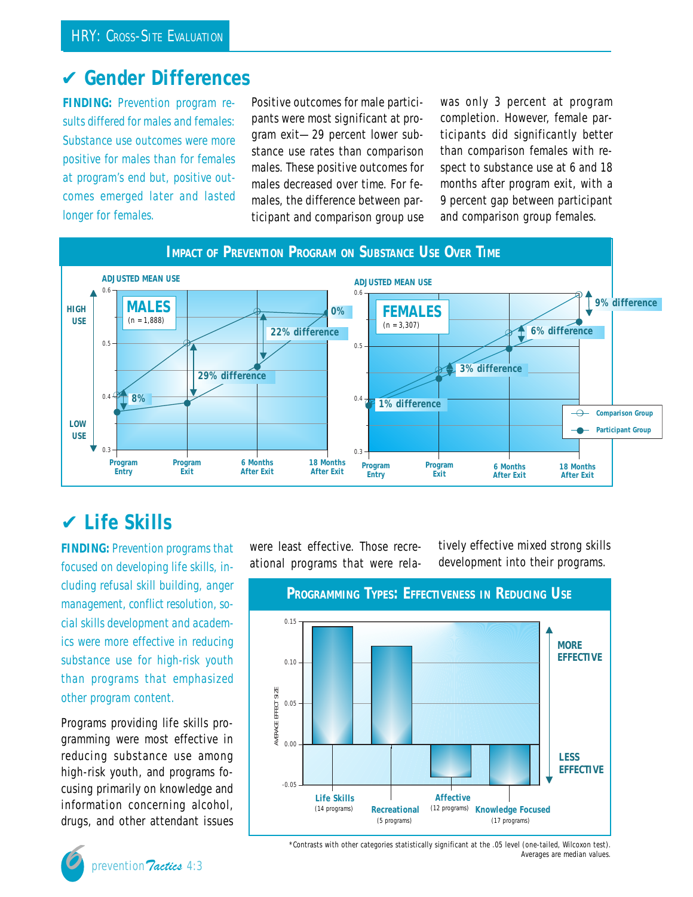## ✔ **Gender Differences**

**FINDING:** *Prevention program results differed for males and females: Substance use outcomes were more positive for males than for females at program's end but, positive outcomes emerged later and lasted longer for females.*

Positive outcomes for male participants were most significant at program exit—29 percent lower substance use rates than comparison males. These positive outcomes for males decreased over time. For females, the difference between participant and comparison group use was only 3 percent at program completion. However, female participants did *significantly better* than comparison females with respect to substance use at 6 and 18 months after program exit, with a 9 percent gap between participant and comparison group females.



# ✔ **Life Skills**

**FINDING:** *Prevention programs that focused on developing life skills, including refusal skill building, anger management, conflict resolution, social skills development and academics were more effective in reducing substance use for high-risk youth than programs that emphasized other program content.*

Programs providing life skills programming were most effective in reducing substance use among high-risk youth, and programs focusing primarily on knowledge and information concerning alcohol, drugs, and other attendant issues

were least effective. Those recreational programs that were relatively effective mixed strong skills development into their programs.





\*Contrasts with other categories statistically significant at the .05 level (one-tailed, Wilcoxon test). Averages are median values.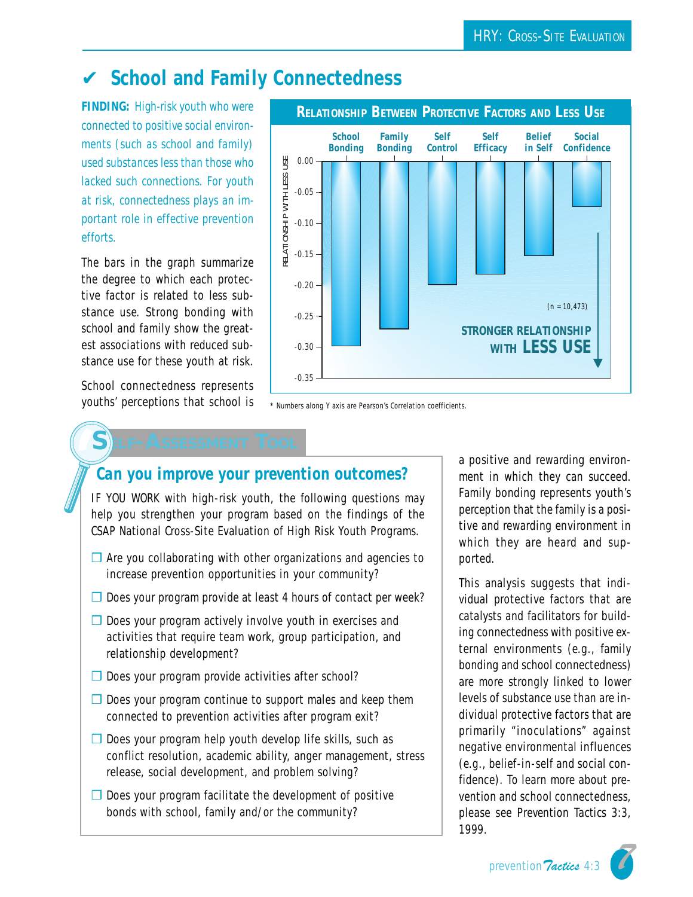# ✔ **School and Family Connectedness**

**FINDING:** *High-risk youth who were connected to positive social environments (such as school and family) used substances less than those who lacked such connections. For youth at risk, connectedness plays an important role in effective prevention efforts.*

The bars in the graph summarize the degree to which each protective factor is related to *less* substance use. Strong bonding with school and family show the greatest associations with reduced substance use for these youth at risk.

School connectedness represents youths' perceptions that school is



\* Numbers along Y axis are Pearson's Correlation coefficients.

## *Can you improve your prevention outcomes?*

IF YOU WORK with high-risk youth, the following questions may help you strengthen your program based on the findings of the CSAP National Cross-Site Evaluation of High Risk Youth Programs.

- $\Box$  Are you collaborating with other organizations and agencies to increase prevention opportunities in your community?
- ❒ Does your program provide at least 4 hours of contact per week?
- ❒ Does your program actively involve youth in exercises and activities that require team work, group participation, and relationship development?
- ❒ Does your program provide activities after school?
- $\Box$  Does your program continue to support males and keep them connected to prevention activities after program exit?
- ❒ Does your program help youth develop life skills, such as conflict resolution, academic ability, anger management, stress release, social development, and problem solving?
- ❒ Does your program facilitate the development of positive bonds with school, family and/or the community?

a positive and rewarding environment in which they can succeed. Family bonding represents youth's perception that the family is a positive and rewarding environment in which they are heard and supported.

This analysis suggests that individual protective factors that are *catalysts and facilitators* for building connectedness with positive external environments (e.g., family bonding and school connectedness) are more strongly linked to lower levels of substance use than are individual protective factors that are primarily "inoculations" against negative environmental influences (e.g., belief-in-self and social confidence). To learn more about prevention and school connectedness, please see *Prevention Tactics* 3:3, 1999.

prevention Tactics 4:3